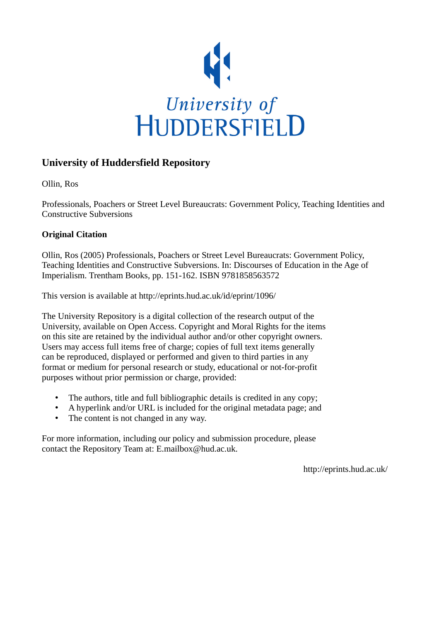

# **University of Huddersfield Repository**

Ollin, Ros

Professionals, Poachers or Street Level Bureaucrats: Government Policy, Teaching Identities and Constructive Subversions

## **Original Citation**

Ollin, Ros (2005) Professionals, Poachers or Street Level Bureaucrats: Government Policy, Teaching Identities and Constructive Subversions. In: Discourses of Education in the Age of Imperialism. Trentham Books, pp. 151-162. ISBN 9781858563572

This version is available at http://eprints.hud.ac.uk/id/eprint/1096/

The University Repository is a digital collection of the research output of the University, available on Open Access. Copyright and Moral Rights for the items on this site are retained by the individual author and/or other copyright owners. Users may access full items free of charge; copies of full text items generally can be reproduced, displayed or performed and given to third parties in any format or medium for personal research or study, educational or not-for-profit purposes without prior permission or charge, provided:

- The authors, title and full bibliographic details is credited in any copy;
- A hyperlink and/or URL is included for the original metadata page; and
- The content is not changed in any way.

For more information, including our policy and submission procedure, please contact the Repository Team at: E.mailbox@hud.ac.uk.

http://eprints.hud.ac.uk/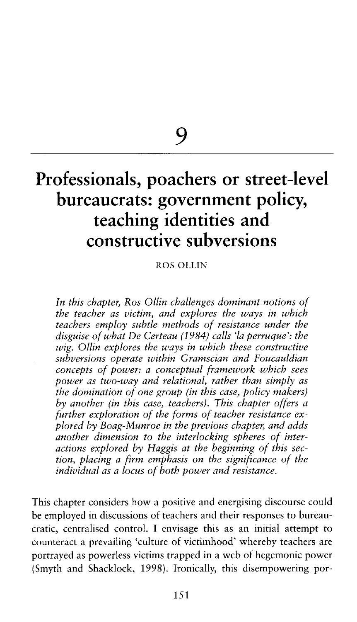9

# **Professionals, poachers or street-level bureaucrats: government policy, teaching identities and constructive subversions**

#### ROS OLLIN

*In this chapter, Ros Ollin challenges dominant notions of the teacher as victim, and explores the ways in which teachers employ subtle methods of resistance under the disguise of what De Certeau* (1984) *calls 'la perruque': the wig. Ollin explores the ways in which these constructive subversions operate within Gramscian and Foucauldian concepts of power: a conceptual framework which sees power as two-way and relational, rather than simply as the domination of one group (in this case, policy makers) by another (in this case, teachers). This chapter offers a further exploration of the forms of teacher resistance explored by Boag-Munroe in the previous chapter, and adds another dimension to the interlocking spheres of interactions explored by Haggis at the beginning of this section, placing a firm emphasis on the significance of the individual as a locus of both power and resistance.*

This chapter considers how a positive and energising discourse could be employed in discussions of teachers and their responses to bureaucratic, centralised control. I envisage this as an initial attempt to counteract a prevailing 'culture of victimhood' whereby teachers are portrayed as powerless victims trapped in a web of hegemonic power (Smyth and Shacklock, 1998). Ironically, this disempowering por-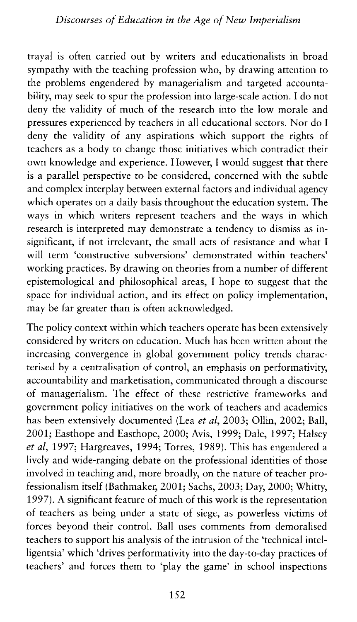trayal is often carried out by writers and educationalists in broad sympathy with the teaching profession who, by drawing attention to the problems engendered by managerialism and targeted accountability, may seek to spur the profession into large-scale action. I do not deny the validity of much of the research into the low morale and pressures experienced by teachers in all educational sectors. Nor do I deny the validity of any aspirations which support the rights of teachers as a body to change those initiatives which contradict their own knowledge and experience. However, I would suggest that there is a parallel perspective to be considered, concerned with the subtle and complex interplay between external factors and individual agency which operates on a daily basis throughout the education system. The ways in which writers represent teachers and the ways in which research is interpreted may demonstrate a tendency to dismiss as insignificant, if not irrelevant, the small acts of resistance and what I will term 'constructive subversions' demonstrated within teachers' working practices. By drawing on theories from a number of different epistemological and philosophical areas, I hope to suggest that the space for individual action, and its effect on policy implementation, may be far greater than is often acknowledged.

The policy context within which teachers operate has been extensively considered by writers on education. Much has been written about the increasing convergence in global government policy trends characterised by a centralisation of control, an emphasis on performativity, accountability and marketisation, communicated through a discourse of managerialism. The effect of these restrictive frameworks and government policy initiatives on the work of teachers and academics has been extensively documented (Lea *et aI,* 2003; Ollin, 2002; Ball, 2001; Easthope and Easthope, 2000; Avis, 1999; Dale, 1997; Halsey *et aI,* 1997; Hargreaves, 1994; Torres, 1989). This has engendered a lively and wide-ranging debate on the professional identities of those involved in teaching and, more broadly, on the nature of teacher professionalism itself (Bathmaker, 2001; Sachs, 2003; Day, 2000; Whitty, 1997). A significant feature of much of this work is the representation of teachers as being under a state of siege, as powerless victims of forces beyond their control. Ball uses comments from demoralised teachers to support his analysis of the intrusion of the 'technical intelligentsia' which 'drives performativity into the day-to-day practices of teachers' and forces them to 'play the game' in school inspections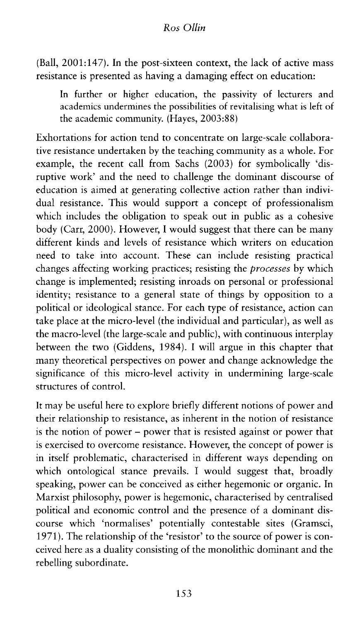(Ball, 2001:147). **In** the post-sixteen context, the lack of active mass resistance is presented as having a damaging effect on education:

**In** further or higher education, the passivity of lecturers and academics undermines the possibilities of revitalising what is left of the academic community. (Hayes, 2003:88)

Exhortations for action tend to concentrate on large-scale collaborative resistance undertaken by the teaching community as a whole. For example, the recent call from Sachs (2003) for symbolically 'disruptive work' and the need to challenge the dominant discourse of education is aimed at generating collective action rather than individual resistance. This would support a concept of professionalism which includes the obligation to speak out in public as a cohesive body (Carr, 2000). However, I would suggest that there can be many different kinds and levels of resistance which writers on education need to take into account. These can include resisting practical changes affecting working practices; resisting the *processes* by which change is implemented; resisting inroads on personal or professional identity; resistance to a general state of things by opposition to a political or ideological stance. For each type of resistance, action can take place at the micro-level (the individual and particular), as well as the macro-level (the large-scale and public), with continuous interplay between the two (Giddens, 1984). I will argue in this chapter that many theoretical perspectives on power and change acknowledge the significance of this micro-level activity in undermining large-scale structures of control.

It may be useful here to explore briefly different notions of power and their relationship to resistance, as inherent in the notion of resistance is the notion of power - power that is resisted against or power that is exercised to overcome resistance. However, the concept of power is in itself problematic, characterised in different ways depending on which ontological stance prevails. I would suggest that, broadly speaking, power can be conceived as either hegemonic or organic. **In** Marxist philosophy, power is hegemonic, characterised by centralised political and economic control and the presence of a dominant discourse which 'normalises' potentially contestable sites (Gramsci, 1971). The relationship of the 'resistor' to the source of power is conceived here as a duality consisting of the monolithic dominant and the rebelling subordinate.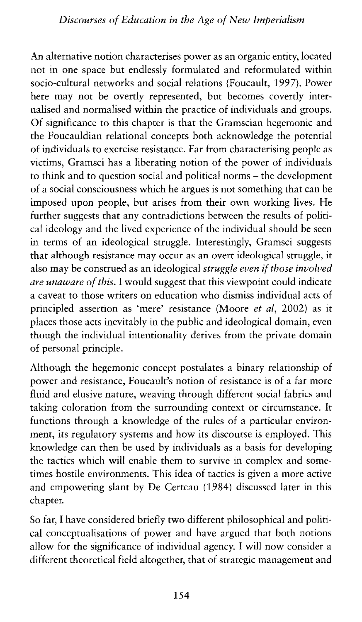An alternative notion characterises power as an organic entity, located not in one space but endlessly formulated and reformulated within socio-cultural networks and social relations (Foucault, 1997). Power here may not be overtly represented, but becomes covertly internalised and normalised within the practice of individuals and groups. Of significance to this chapter is that the Gramscian hegemonic and the Foucauldian relational concepts both acknowledge the potential of individuals to exercise resistance. Far from characterising people as victims, Gramsci has a liberating notion of the power of individuals to think and to question social and political norms - the development of a social consciousness which he argues is not something that can be imposed upon people, but arises from their own working lives. He further suggests that any contradictions between the results of political ideology and the lived experience of the individual should be seen in terms of an ideological struggle. Interestingly, Gramsci suggests that although resistance may occur as an overt ideological struggle, it also may be construed as an ideological *struggle even if those involved are unaware of this.* I would suggest that this viewpoint could indicate a caveat to those writers on education who dismiss individual acts of principled assertion as 'mere' resistance (Moore *et aI,* 2002) as it places those acts inevitably in the public and ideological domain, even though the individual intentionality derives from the private domain of personal principle.

Although the hegemonic concept postulates a binary relationship of power and resistance, Foucault's notion of resistance is of a far more fluid and elusive nature, weaving through different social fabrics and taking coloration from the surrounding context or circumstance. It functions through a knowledge of the rules of a particular environment, its regulatory systems and how its discourse is employed. This knowledge can then be used by individuals as a basis for developing the tactics which will enable them to survive in complex and sometimes hostile environments. This idea of tactics is given a more active and empowering slant by De Certeau (1984) discussed later in this chapter.

So far, I have considered briefly two different philosophical and political conceptualisations of power and have argued that both notions allow for the significance of individual agency. I will now consider a different theoretical field altogether, that of strategic management and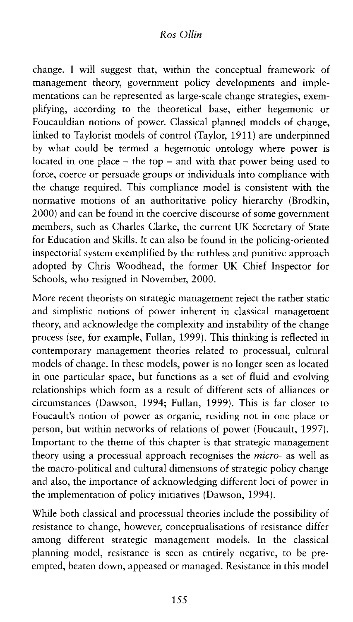change. I will suggest that, within the conceptual framework of management theory, government policy developments and implementations can be represented as large-scale change strategies, exemplifying, according to the theoretical base, either hegemonic or Foucauldian notions of power. Classical planned models of change, linked to Taylorist models of control (Taylor, 1911) are underpinned by what could be termed a hegemonic ontology where power is located in one place – the top – and with that power being used to force, coerce or persuade groups or individuals into compliance with the change required. This compliance model is consistent with the normative motions of an authoritative policy hierarchy (Brodkin, 2000) and can be found in the coercive discourse of some government members, such as Charles Clarke, the current UK Secretary of State for Education and Skills. It can also be found in the policing-oriented inspectorial system exemplified by the ruthless and punitive approach adopted by Chris Woodhead, the former UK Chief Inspector for Schools, who resigned in November, 2000.

More recent theorists on strategic management reject the rather static and simplistic notions of power inherent in classical management theory, and acknowledge the complexity and instability of the change process (see, for example, Fullan, 1999). This thinking is reflected in contemporary management theories related to processual, cultural models of change. **In** these models, power is no longer seen as located in one particular space, but functions as a set of fluid and evolving relationships which form as a result of different sets of alliances or circumstances (Dawson, 1994; Fullan, 1999). This is far closer to Foucault's notion of power as organic, residing not in one place or person, but within networks of relations of power (Foucault, 1997). Important to the theme of this chapter is that strategic management theory using a processual approach recognises the *micro-* as well as the macro-political and cultural dimensions of strategic policy change and also, the importance of acknowledging different loci of power in the implementation of policy initiatives (Dawson, 1994).

While both classical and processual theories include the possibility of resistance to change, however, conceptualisations of resistance differ among different strategic management models. **In** the classical planning model, resistance is seen as entirely negative, to be preempted, beaten down, appeased or managed. Resistance in this model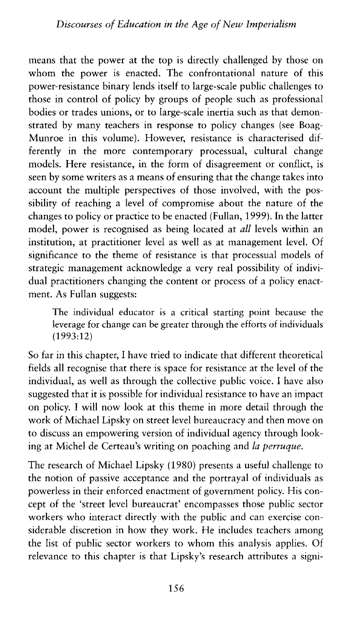means that the power at the top is directly challenged by those on whom the power is enacted. The confrontational nature of this power-resistance binary lends itself to large-scale public challenges to those in control of policy by groups of people such as professional bodies or trades unions, or to large-scale inertia such as that demonstrated by many teachers in response to policy changes (see Boag-Munroe in this volume). However, resistance is characterised differently in the more contemporary processual, cultural change models. Here resistance, in the form of disagreement or conflict, is seen by some writers as a means of ensuring that the change takes into account the multiple perspectives of those involved, with the possibility of reaching a level of compromise about the nature of the changes to policy or practice to be enacted (Fullan, 1999). **In** the latter model, power is recognised as being located at *all* levels within an institution, at practitioner level as well as at management level. Of significance to the theme of resistance is that processual models of strategic management acknowledge a very real possibility of individual practitioners changing the content or process of a policy enactment. As Fullan suggests:

The individual educator is a critical starting point because the leverage for change can be greater through the efforts of individuals (1993:12)

So far in this chapter, I have tried to indicate that different theoretical fields all recognise that there is space for resistance at the level of the individual, as well as through the collective public voice. I have also suggested that it is possible for individual resistance to have an impact on policy. I will now look at this theme in more detail through the work of Michael Lipsky on street level bureaucracy and then move on to discuss an empowering version of individual agency through looking at Michel de Certeau's writing on poaching and *la perruque.*

The research of Michael Lipsky (1980) presents a useful challenge to the notion of passive acceptance and the portrayal of individuals as powerless in their enforced enactment of government policy. His concept of the 'street level bureaucrat' encompasses those public sector workers who interact directly with the public and can exercise considerable discretion in how they work. He includes teachers among the list of public sector workers to whom this analysis applies. Of relevance to this chapter is that Lipsky's research attributes a signi-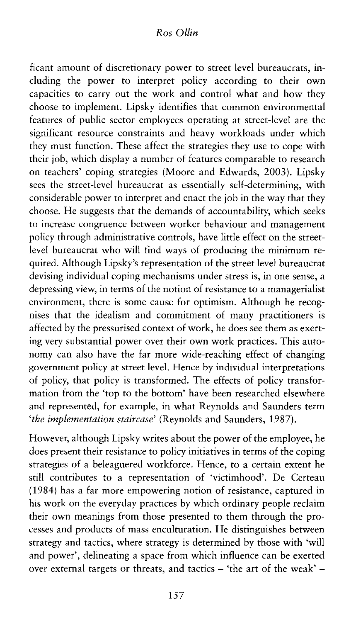ficant amount of discretionary power to street level bureaucrats, including the power to interpret policy according to their own capacities to carry out the work and control what and how they choose to implement. Lipsky identifies that common environmental features of public sector employees operating at street-level are the significant resource constraints and heavy workloads under which they must function. These affect the strategies they use to cope with their job, which display a number of features comparable to research on teachers' coping strategies (Moore and Edwards, 2003). Lipsky sees the street-level bureaucrat as essentially self-determining, with considerable power to interpret and enact the job in the way that they choose. He suggests that the demands of accountability, which seeks to increase congruence between worker behaviour and management policy through administrative controls, have little effect on the streetlevel bureaucrat who will find ways of producing the minimum required. Although Lipsky's representation of the street level bureaucrat devising individual coping mechanisms under stress is, in one sense, a depressing view, in terms of the notion of resistance to a managerialist environment, there is some cause for optimism. Although he recognises that the idealism and commitment of many practitioners is affected by the pressurised context of work, he does see them as exerting very substantial power over their own work practices. This autonomy can also have the far more wide-reaching effect of changing government policy at street level. Hence by individual interpretations of policy, that policy is transformed. The effects of policy transformation from the 'top to the bottom' have been researched elsewhere and represented, for example, in what Reynolds and Saunders term *'the implementation staircase'* (Reynolds and Saunders, 1987).

However, although Lipsky writes about the power of the employee, he does present their resistance to policy initiatives in terms of the coping strategies of a beleaguered workforce. Hence, to a certain extent he still contributes to a representation of 'victimhood'. De Certeau (1984) has a far more empowering notion of resistance, captured in his work on the everyday practices by which ordinary people reclaim their own meanings from those presented to them through the processes and products of mass enculturation. He distinguishes between strategy and tactics, where strategy is determined by those with 'will and power', delineating a space from which influence can be exerted over external targets or threats, and tactics  $-$  'the art of the weak'  $-$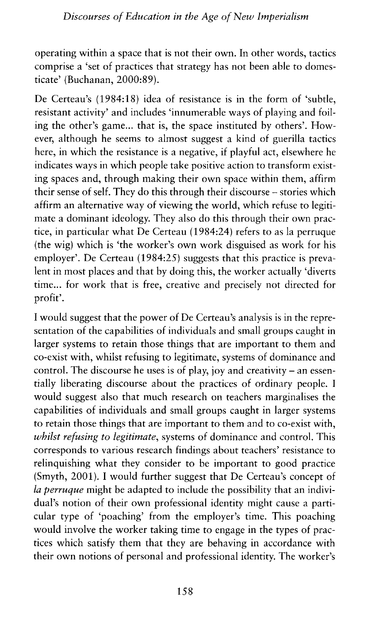operating within a space that is not their own. In other words, tactics comprise a 'set of practices that strategy has not been able to domesticate' (Buchanan, 2000:89).

De Certeau's (1984:18) idea of resistance is in the form of 'subtle, resistant activity' and includes 'innumerable ways of playing and foiling the other's game... that is, the space instituted by others'. However, although he seems to almost suggest a kind of guerilla tactics here, in which the resistance is a negative, if playful act, elsewhere he indicates ways in which people take positive action to transform existing spaces and, through making their own space within them, affirm their sense of self. They do this through their discourse - stories which affirm an alternative way of viewing the world, which refuse to legitimate a dominant ideology. They also do this through their own practice, in particular what De Certeau (1984:24) refers to as la perruque (the wig) which is 'the worker's own work disguised as work for his employer'. De Certeau (1984:25) suggests that this practice is prevalent in most places and that by doing this, the worker actually 'diverts time... for work that is free, creative and precisely not directed for profit'.

I would suggest that the power of De Certeau's analysis is in the representation of the capabilities of individuals and small groups caught in larger systems to retain those things that are important to them and co-exist with, whilst refusing to legitimate, systems of dominance and control. The discourse he uses is of play, joy and creativity  $-$  an essentially liberating discourse about the practices of ordinary people. I would suggest also that much research on teachers marginalises the capabilities of individuals and small groups caught in larger systems to retain those things that are important to them and to co-exist with, *whilst refusing to legitimate,* systems of dominance and control. This corresponds to various research findings about teachers' resistance to relinquishing what they consider to be important to good practice (Smyth, 2001). I would further suggest that De Certeau's concept of *la perruque* might be adapted to include the possibility that an individual's notion of their own professional identity might cause a particular type of 'poaching' from the employer's time. This poaching would involve the worker taking time to engage in the types of practices which satisfy them that they are behaving in accordance with their own notions of personal and professional identity. The worker's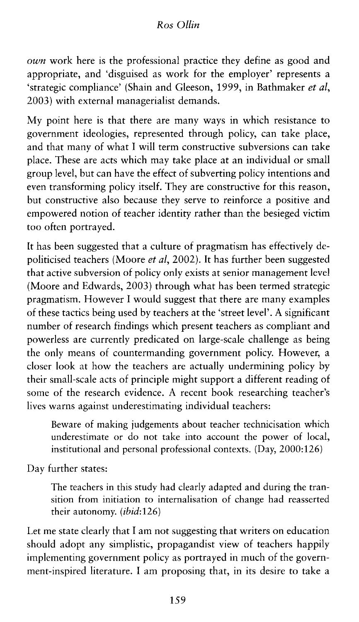*own* work here is the professional practice they define as good and appropriate, and 'disguised as work for the employer' represents a 'strategic compliance' (Shain and Gleeson, 1999, in Bathmaker *et ai,* 2003) with external managerialist demands.

My point here is that there are many ways in which resistance to government ideologies, represented through policy, can take place, and that many of what I will term constructive subversions can take place. These are acts which may take place at an individual or small group level, but can have the effect of subverting policy intentions and even transforming policy itself. They are constructive for this reason, but constructive also because they serve to reinforce a positive and empowered notion of teacher identity rather than the besieged victim too often portrayed.

It has been suggested that a culture of pragmatism has effectively depoliticised teachers (Moore *et ai,* 2002). It has further been suggested that active subversion of policy only exists at senior management level (Moore and Edwards, 2003) through what has been termed strategic pragmatism. However I would suggest that there are many examples of these tactics being used by teachers at the 'street level'. A significant number of research findings which present teachers as compliant and powerless are currently predicated on large-scale challenge as being the only means of countermanding government policy. However, a closer look at how the teachers are actually undermining policy by their small-scale acts of principle might support a different reading of some of the research evidence. A recent book researching teacher's lives warns against underestimating individual teachers:

Beware of making judgements about teacher technicisation which underestimate or do not take into account the power of local, institutional and personal professional contexts. (Day, 2000:126)

Day further states:

The teachers in this study had clearly adapted and during the transition from initiation to internalisation of change had reasserted their autonomy. *(ibid:126)*

Let me state clearly that I am not suggesting that writers on education should adopt any simplistic, propagandist view of teachers happily implementing government policy as portrayed in much of the government-inspired literature. I am proposing that, in its desire to take a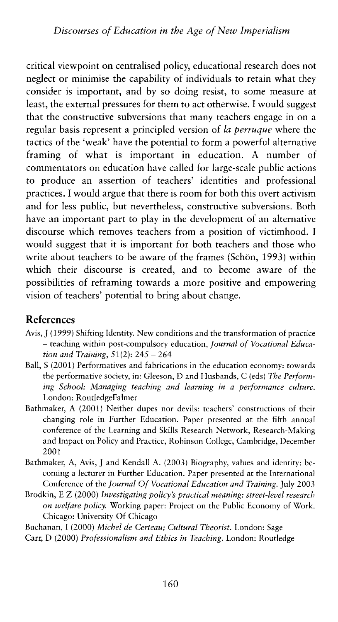critical viewpoint on centralised policy, educational research does not neglect or minimise the capability of individuals to retain what they consider is important, and by so doing resist, to some measure at least, the external pressures for them to act otherwise. I would suggest that the constructive subversions that many teachers engage in on a regular basis represent a principled version of *la perruque* where the tactics of the 'weak' have the potential to form a powerful alternative framing of what is important in education. A number of commentators on education have called for large-scale public actions to produce an assertion of teachers' identities and professional practices. I would argue that there is room for both this overt activism and for less public, but nevertheless, constructive subversions. Both have an important part to play in the development of an alternative discourse which removes teachers from a position of victimhood. I would suggest that it is important for both teachers and those who write about teachers to be aware of the frames (Schön, 1993) within which their discourse is created, and to become aware of the possibilities of reframing towards a more positive and empowering vision of teachers' potential to bring about change.

## **References**

- Avis,] (1999) Shifting Identity. New conditions and the transformation of practice - teaching within post-compulsory education, *Journal of Vocational Education and Training,* 51(2): 245 - 264
- Ball, S (2001) Performatives and fabrications in the education economy: towards the performative society, in: Gleeson, D and Husbands, C (eds) *The Performing School: Managing teaching and learning in a performance culture.* London: RoutiedgeFalmer
- Bathmaker, A (2001) Neither dupes nor devils: teachers' constructions of their changing role in Further Education. Paper presented at the fifth annual conference of the Learning and Skills Research Network, Research-Making and Impact on Policy and Practice, Robinson College, Cambridge, December 2001
- Bathmaker, A, Avis, J and Kendall A. (2003) Biography, values and identity: becoming a lecturer in Further Education. Paper presented at the International Conference of the *Journal Of Vocational Education and Training.* July 2003
- Brodkin, E Z (2000) *Investigating policy's practical meaning: street-level research on welfare policy.* Working paper: Project on the Public Economy of Work. Chicago: University Of Chicago

Buchanan, I (2000) *Michel de Certeau; Cultural Theorist.* London: Sage

Carr, D (2000) *Professionalism and Ethics in Teaching.* London: Routledge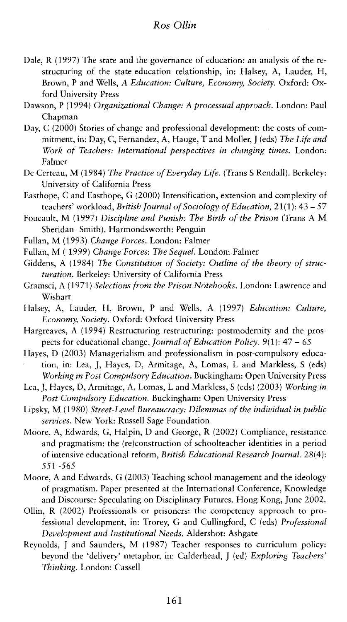- Dale, R (1997) The state and the governance of education: an analysis of the restructuring of the state-education relationship, in: Halsey, A, Lauder, H, Brown, P and Wells, *A Education: Culture, Economy, Society.* Oxford: Oxford University Press
- Dawson, P (1994) *Organizational Change: A processual approach.* London: Paul Chapman
- Day, C (2000) Stories of change and professional development: the costs of commitment, in: Day, C, Fernandez, A, Hauge, T and Moller, J (eds) *The Life and Work of Teachers: International perspectives in changing times.* London: Falmer
- De Certeau, M (1984) *The Practice of Everyday Life.* (Trans S Rendall). Berkeley: University of California Press
- Easthope, C and Easthope, G (2000) Intensification, extension and complexity of teachers' workload, *British Journal of Sociology of Education,* 21 (1): 43 - 57
- Foucault, M (1997) *Discipline and Punish: The Birth of the Prison* (Trans A M Sheridan- Smith). Harmondsworth: Penguin
- Fullan, M (1993) *Change Forces.* London: Falmer
- Fullan, M ( 1999) *Change Forces: The Sequel.* London: Falmer
- Giddens, A (1984) *The Constitution of Society: Outline of the theory of structuration.* Berkeley: University of California Press
- Gramsci, A (1971) *Selections from the Prison Notebooks.* London: Lawrence and Wishart
- Halsey, A, Lauder, H, Brown, P and Wells, A (1997) *Education: Culture, Economy, Society.* Oxford: Oxford University Press
- Hargreaves, A (1994) Restructuring restructuring: postmodernity and the prospects for educational change, *Journal of Education Policy.* 9(1): 47 - 65
- Hayes, D (2003) Managerialism and professionalism in post-compulsory education, in: Lea, J, Hayes, D, Armitage, A, Lomas, Land Markless, S (eds) *Working in Post Compulsory Education.* Buckingham: Open University Press
- Lea, J, Hayes, D, Armitage, A, Lomas, Land Markless, S (eds) (2003) *Working in Post Compulsory Education.* Buckingham: Open University Press
- Lipsky, M (1980) *Street-Level Bureaucracy: Dilemmas of the individual in public services.* New York: Russell Sage Foundation
- Moore, A, Edwards, G, Halpin, D and George, R (2002) Compliance, resistance and pragmatism: the (re)construction of schoolteacher identities in a period of intensive educational reform, *British Educational Research Journal. 28(4):* 551 -565
- Moore, A and Edwards, G (2003) Teaching school management and the ideology of pragmatism. Paper presented at the International Conference, Knowledge and Discourse: Speculating on Disciplinary Futures. Hong Kong, June 2002.
- Ollin, R (2002) Professionals or prisoners: the competency approach to professional development, in: Trorey, G and Cullingford, C (eds) *Professional Development and Institutional Needs.* Aldershot: Ashgate
- Reynolds, J and Saunders, M (1987) Teacher responses to curriculum policy: beyond the 'delivery' metaphor, in: Calderhead, J (ed) *Exploring Teachers' Thinking.* London: Cassell